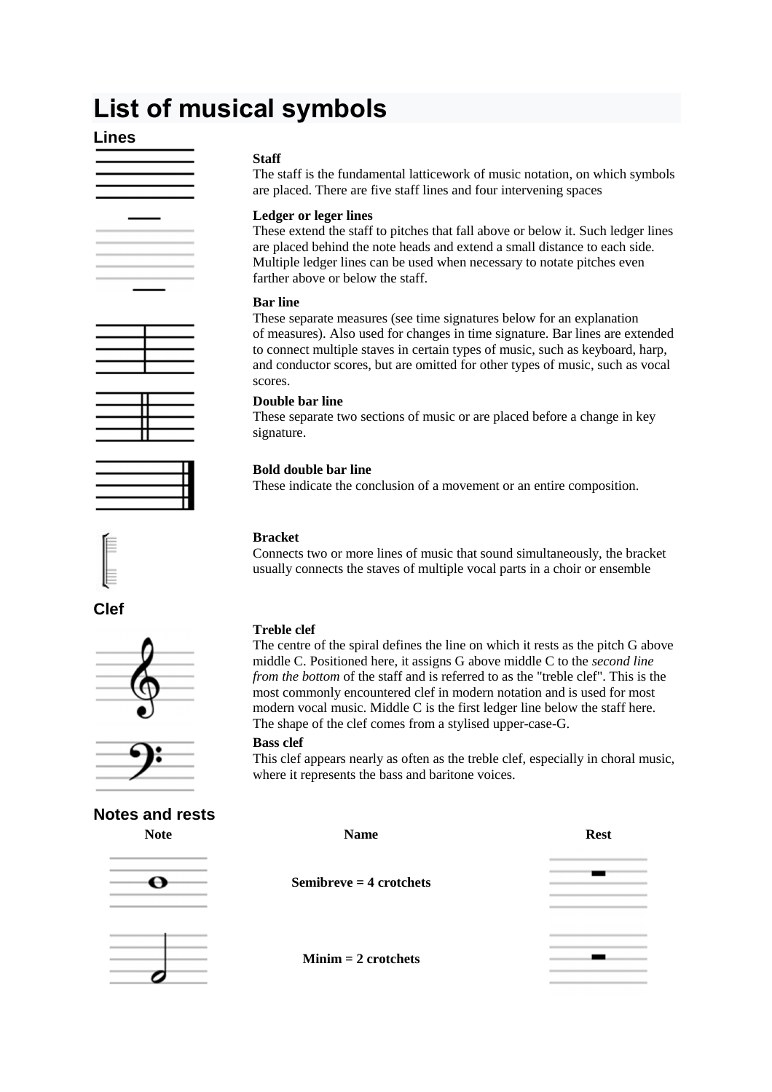# **List of musical symbols**

## **Lines**













## **Notes and rests**

## **Staff**

The staff is the fundamental latticework of music notation, on which symbols are placed. There are five staff lines and four intervening spaces

## **Ledger or leger lines**

These extend the staff to pitches that fall above or below it. Such ledger lines are placed behind the note heads and extend a small distance to each side. Multiple ledger lines can be used when necessary to notate pitches even farther above or below the staff.

## **Bar line**

These separate measures (see time signatures below for an explanation of measures). Also used for changes in time signature. Bar lines are extended to connect multiple staves in certain types of music, such as keyboard, harp, and conductor scores, but are omitted for other types of music, such as vocal scores.

## **Double bar line**

These separate two sections of music or are placed before a change in key signature.

## **Bold double bar line**

These indicate the conclusion of a movement or an entire composition.

## **Bracket**

Connects two or more lines of music that sound simultaneously, the bracket usually connects the staves of multiple vocal parts in a choir or ensemble

## **Treble clef**

The centre of the spiral defines the line on which it rests as the pitch G above middle C. Positioned here, it assigns G above middle C to the *second line from the bottom* of the staff and is referred to as the "treble clef". This is the most commonly encountered clef in modern notation and is used for most modern vocal music. Middle C is the first ledger line below the staff here. The shape of the clef comes from a stylised upper-case-G.

## **Bass clef**

This clef appears nearly as often as the treble clef, especially in choral music, where it represents the bass and baritone voices.

| <b>Note</b> | <b>Name</b>               | <b>Rest</b> |
|-------------|---------------------------|-------------|
|             | Semibreve $=$ 4 crotchets |             |
|             |                           |             |
|             | $Minim = 2$ crotchets     |             |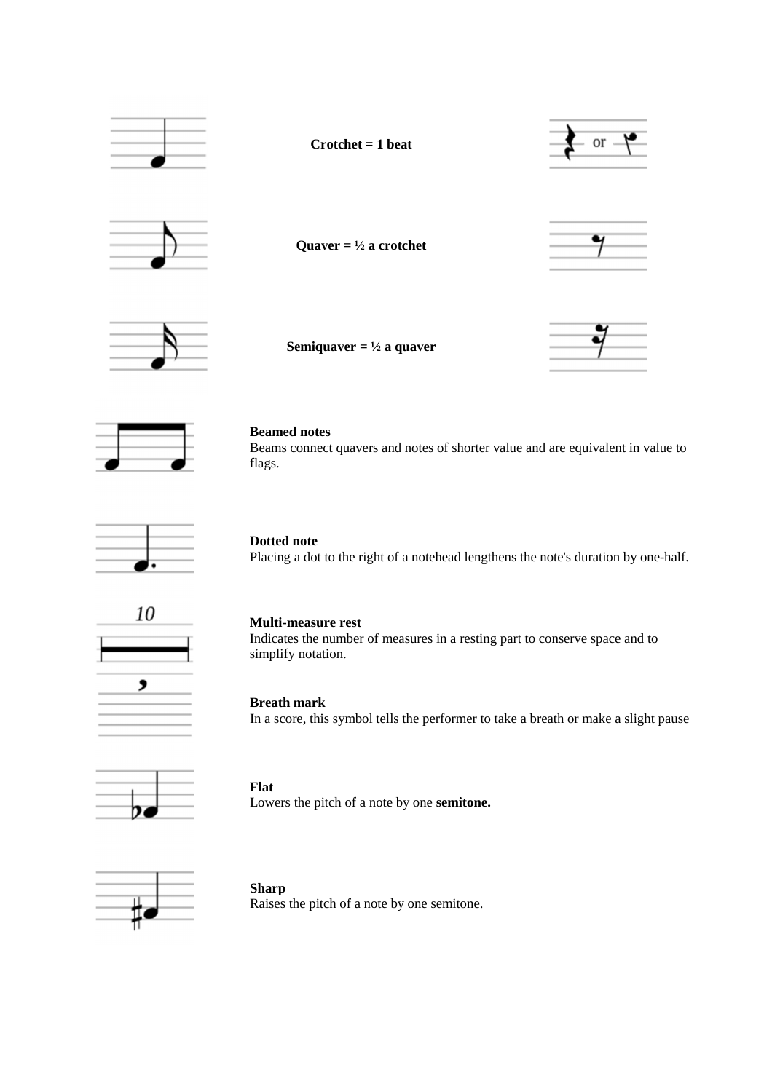



#### **Beamed notes**

Beams connect quavers and notes of shorter value and are equivalent in value to flags.



## **Dotted note**

Placing a dot to the right of a notehead lengthens the note's duration by one-half.



## **Multi-measure rest**

Indicates the number of measures in a resting part to conserve space and to simplify notation.

## **Breath mark**

In a score, this symbol tells the performer to take a breath or make a slight pause



**Flat**  Lowers the pitch of a note by one **semitone.**



#### **Sharp**

Raises the pitch of a note by one semitone.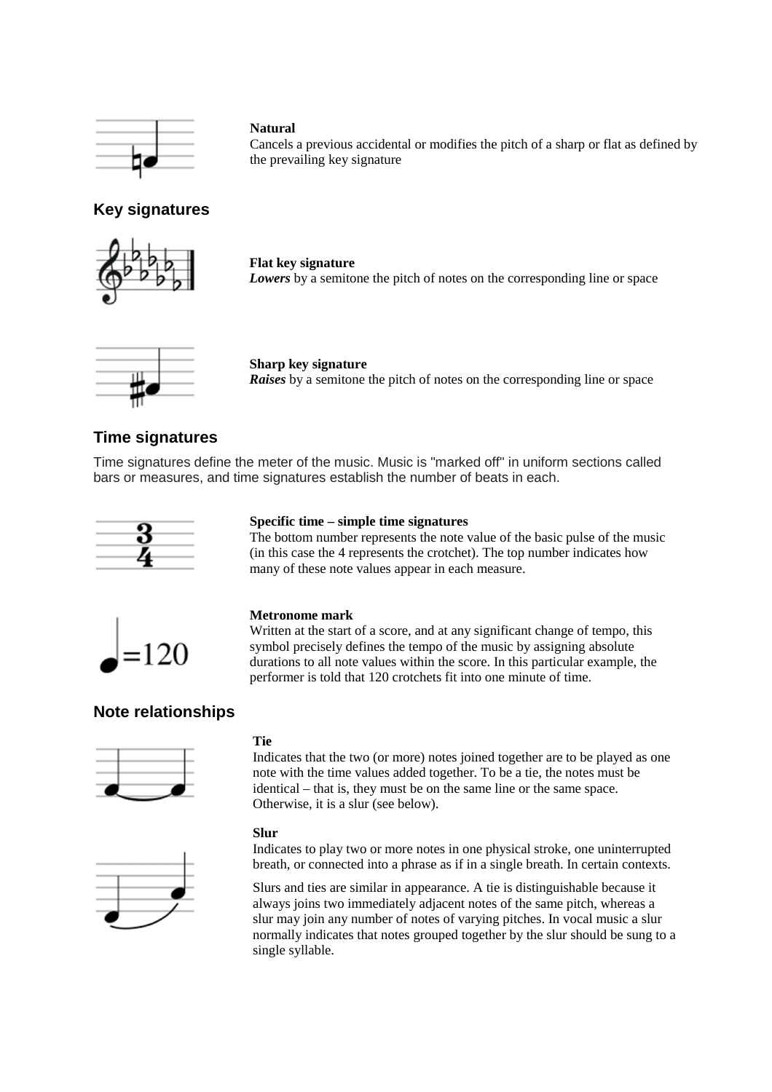

## **Natural**

Cancels a previous accidental or modifies the pitch of a sharp or flat as defined by the prevailing key signature

## **Key signatures**



**Flat key signature** *Lowers* by a semitone the pitch of notes on the corresponding line or space



#### **Sharp key signature**

*Raises* by a semitone the pitch of notes on the corresponding line or space

## **Time signatures**

Time signatures define the meter of the music. Music is "marked off" in uniform sections called bars or measures, and time signatures establish the number of beats in each.



## **Specific time – simple time signatures**

The bottom number represents the note value of the basic pulse of the music (in this case the 4 represents the crotchet). The top number indicates how many of these note values appear in each measure.



#### **Metronome mark**

Written at the start of a score, and at any significant change of tempo, this symbol precisely defines the tempo of the music by assigning absolute durations to all note values within the score. In this particular example, the performer is told that 120 crotchets fit into one minute of time.

## **Note relationships**



#### **Tie**

Indicates that the two (or more) notes joined together are to be played as one note with the time values added together. To be a tie, the notes must be identical – that is, they must be on the same line or the same space. Otherwise, it is a slur (see below).



#### **Slur**

Indicates to play two or more notes in one physical stroke, one uninterrupted breath, or connected into a phrase as if in a single breath. In certain contexts.

Slurs and ties are similar in appearance. A tie is distinguishable because it always joins two immediately adjacent notes of the same pitch, whereas a slur may join any number of notes of varying pitches. In vocal music a slur normally indicates that notes grouped together by the slur should be sung to a single syllable.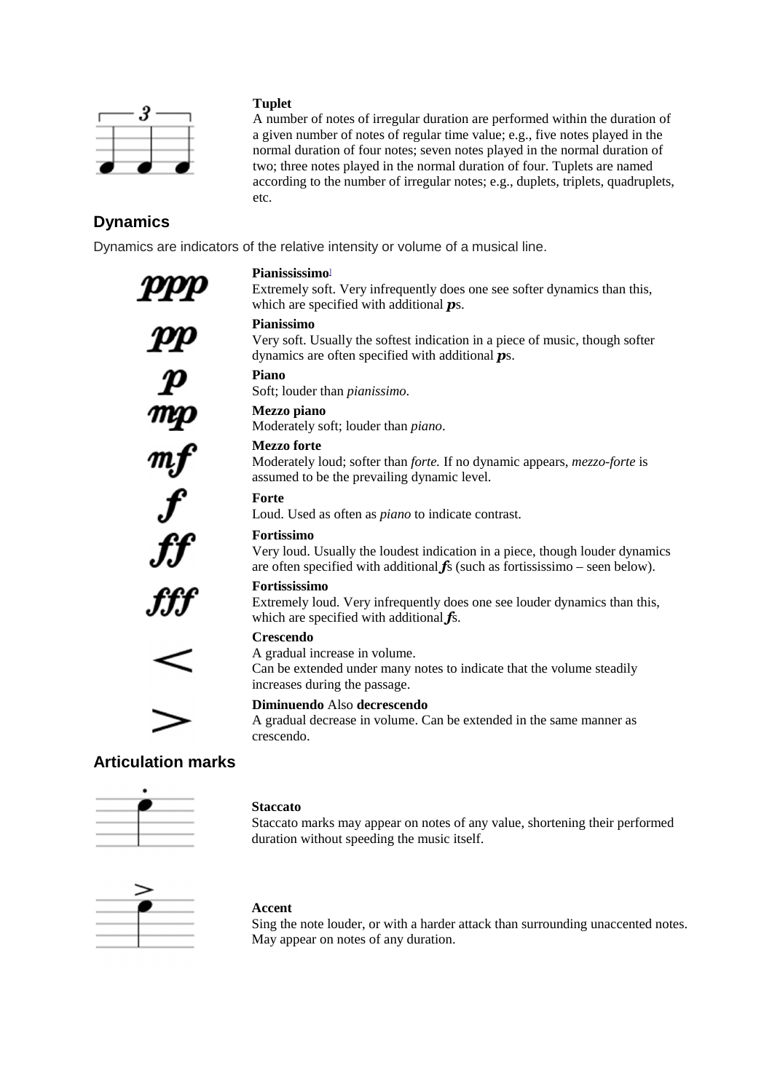

## **Tuplet**

A number of notes of irregular duration are performed within the duration of a given number of notes of regular time value; e.g., five notes played in the normal duration of four notes; seven notes played in the normal duration of two; three notes played in the normal duration of four. Tuplets are named according to the number of irregular notes; e.g., duplets, triplets, quadruplets, etc.

## **Dynamics**

Dynamics are indicators of the relative intensity or volume of a musical line.

## **Pianississimo**]

Extremely soft. Very infrequently does one see softer dynamics than this, which are specified with additional *p*s.

## **Pianissimo**

Very soft. Usually the softest indication in a piece of music, though softer dynamics are often specified with additional *p*s.

## **Piano**

Soft; louder than *pianissimo*.

## **Mezzo piano**

Moderately soft; louder than *piano*.

## **Mezzo forte**

Moderately loud; softer than *forte.* If no dynamic appears, *mezzo-forte* is assumed to be the prevailing dynamic level.

## **Forte**

Loud. Used as often as *piano* to indicate contrast.

## **Fortissimo**

Very loud. Usually the loudest indication in a piece, though louder dynamics are often specified with additional *f*s (such as fortississimo – seen below).

## **Fortississimo**

Extremely loud. Very infrequently does one see louder dynamics than this, which are specified with additional *f*s.

## **Crescendo**

A gradual increase in volume.

Can be extended under many notes to indicate that the volume steadily increases during the passage.

## **Diminuendo** Also **decrescendo**

A gradual decrease in volume. Can be extended in the same manner as crescendo.

## **Articulation marks**



## **Staccato**

Staccato marks may appear on notes of any value, shortening their performed duration without speeding the music itself.



## **Accent**

Sing the note louder, or with a harder attack than surrounding unaccented notes. May appear on notes of any duration.